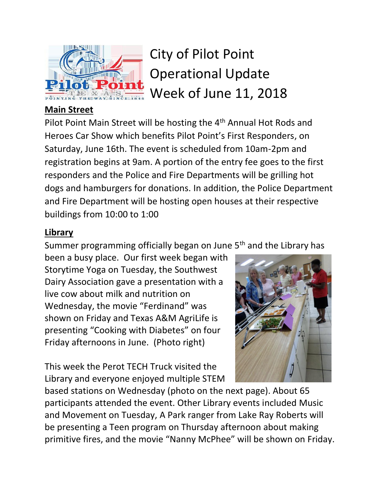

City of Pilot Point Operational Update Week of June 11, 2018

# **Main Street**

Pilot Point Main Street will be hosting the 4<sup>th</sup> Annual Hot Rods and Heroes Car Show which benefits Pilot Point's First Responders, on Saturday, June 16th. The event is scheduled from 10am-2pm and registration begins at 9am. A portion of the entry fee goes to the first responders and the Police and Fire Departments will be grilling hot dogs and hamburgers for donations. In addition, the Police Department and Fire Department will be hosting open houses at their respective buildings from 10:00 to 1:00

## **Library**

Summer programming officially began on June  $5<sup>th</sup>$  and the Library has

been a busy place. Our first week began with Storytime Yoga on Tuesday, the Southwest Dairy Association gave a presentation with a live cow about milk and nutrition on Wednesday, the movie "Ferdinand" was shown on Friday and Texas A&M AgriLife is presenting "Cooking with Diabetes" on four Friday afternoons in June. (Photo right)

This week the Perot TECH Truck visited the Library and everyone enjoyed multiple STEM



based stations on Wednesday (photo on the next page). About 65 participants attended the event. Other Library events included Music and Movement on Tuesday, A Park ranger from Lake Ray Roberts will be presenting a Teen program on Thursday afternoon about making primitive fires, and the movie "Nanny McPhee" will be shown on Friday.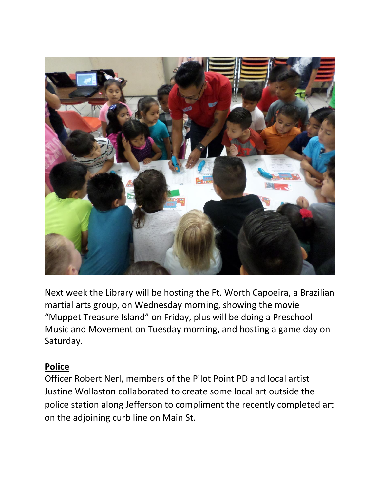

Next week the Library will be hosting the Ft. Worth Capoeira, a Brazilian martial arts group, on Wednesday morning, showing the movie "Muppet Treasure Island" on Friday, plus will be doing a Preschool Music and Movement on Tuesday morning, and hosting a game day on Saturday.

#### **Police**

Officer Robert Nerl, members of the Pilot Point PD and local artist Justine Wollaston collaborated to create some local art outside the police station along Jefferson to compliment the recently completed art on the adjoining curb line on Main St.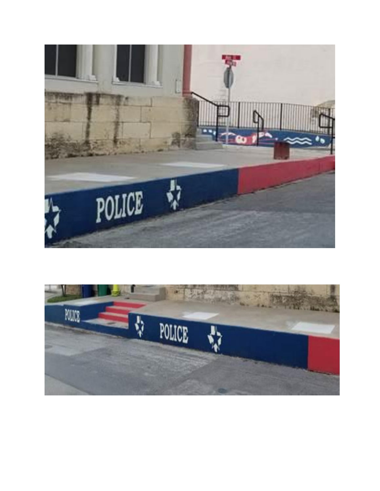

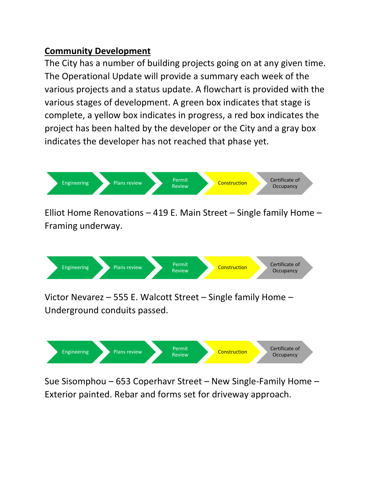## **Community Development**

The City has a number of building projects going on at any given time. The Operational Update will provide a summary each week of the various projects and a status update. A flowchart is provided with the various stages of development. A green box indicates that stage is complete, a yellow box indicates in progress, a red box indicates the project has been halted by the developer or the City and a gray box indicates the developer has not reached that phase yet.



Elliot Home Renovations – 419 E. Main Street – Single family Home – Framing underway.



Victor Nevarez – 555 E. Walcott Street – Single family Home – Underground conduits passed.



Sue Sisomphou – 653 Coperhavr Street – New Single-Family Home – Exterior painted. Rebar and forms set for driveway approach.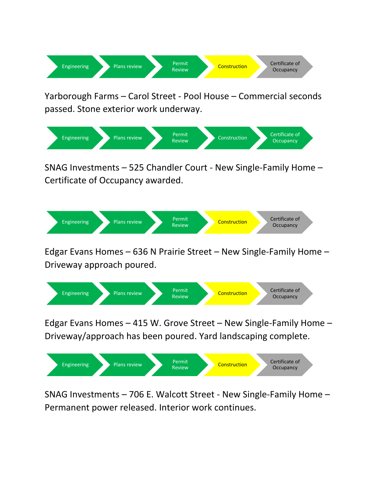

Yarborough Farms – Carol Street - Pool House – Commercial seconds passed. Stone exterior work underway.



SNAG Investments – 525 Chandler Court - New Single-Family Home – Certificate of Occupancy awarded.



Edgar Evans Homes – 636 N Prairie Street – New Single-Family Home – Driveway approach poured.



Edgar Evans Homes – 415 W. Grove Street – New Single-Family Home – Driveway/approach has been poured. Yard landscaping complete.



SNAG Investments – 706 E. Walcott Street - New Single-Family Home – Permanent power released. Interior work continues.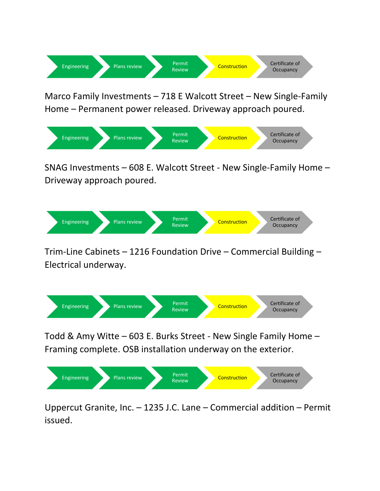

Marco Family Investments – 718 E Walcott Street – New Single-Family Home – Permanent power released. Driveway approach poured.



SNAG Investments – 608 E. Walcott Street - New Single-Family Home – Driveway approach poured.



Trim-Line Cabinets – 1216 Foundation Drive – Commercial Building – Electrical underway.



Todd & Amy Witte – 603 E. Burks Street - New Single Family Home – Framing complete. OSB installation underway on the exterior.



Uppercut Granite, Inc. – 1235 J.C. Lane – Commercial addition – Permit issued.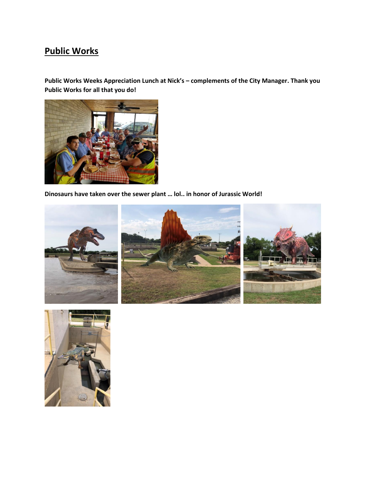## **Public Works**

**Public Works Weeks Appreciation Lunch at Nick's – complements of the City Manager. Thank you Public Works for all that you do!**



**Dinosaurs have taken over the sewer plant … lol.. in honor of Jurassic World!**